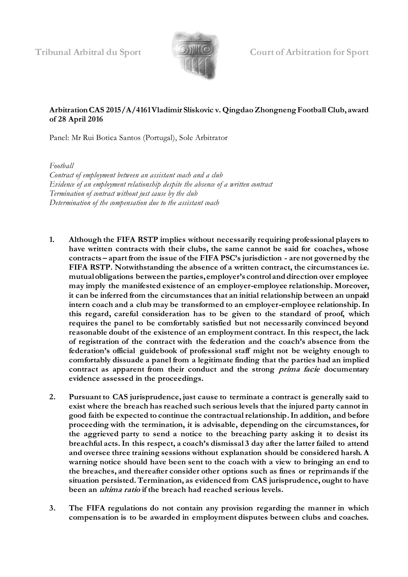

#### **Arbitration CAS 2015/A/4161 Vladimir Sliskovic v. Qingdao Zhongneng Football Club, award of 28 April 2016**

Panel: Mr Rui Botica Santos (Portugal), Sole Arbitrator

*Football Contract of employment between an assistant coach and a club Evidence of an employment relationship despite the absence of a written contract Termination of contract without just cause by the club Determination of the compensation due to the assistant coach*

- **1. Although the FIFA RSTP implies without necessarily requiring professional players to have written contracts with their clubs, the same cannot be said for coaches, whose contracts – apart from the issue of the FIFA PSC's jurisdiction - are not governed by the FIFA RSTP. Notwithstanding the absence of a written contract, the circumstances i.e. mutual obligations between the parties, employer's control and direction over employee may imply the manifested existence of an employer-employee relationship. Moreover, it can be inferred from the circumstances that an initial relationship between an unpaid intern coach and a club may be transformed to an employer-employee relationship. In this regard, careful consideration has to be given to the standard of proof, which requires the panel to be comfortably satisfied but not necessarily convinced beyond reasonable doubt of the existence of an employment contract. In this respect, the lack of registration of the contract with the federation and the coach's absence from the federation's official guidebook of professional staff might not be weighty enough to comfortably dissuade a panel from a legitimate finding that the parties had an implied contract as apparent from their conduct and the strong prima facie documentary evidence assessed in the proceedings.**
- **2. Pursuant to CAS jurisprudence, just cause to terminate a contract is generally said to exist where the breach has reached such serious levels that the injured party cannot in good faith be expected to continue the contractual relationship. In addition, and before proceeding with the termination, it is advisable, depending on the circumstances, for the aggrieved party to send a notice to the breaching party asking it to desist its breachful acts. In this respect, a coach's dismissal 3 day after the latter failed to attend and oversee three training sessions without explanation should be considered harsh. A warning notice should have been sent to the coach with a view to bringing an end to the breaches, and thereafter consider other options such as fines or reprimands if the situation persisted. Termination, as evidenced from CAS jurisprudence, ought to have been an ultima ratio if the breach had reached serious levels.**
- **3. The FIFA regulations do not contain any provision regarding the manner in which compensation is to be awarded in employment disputes between clubs and coaches.**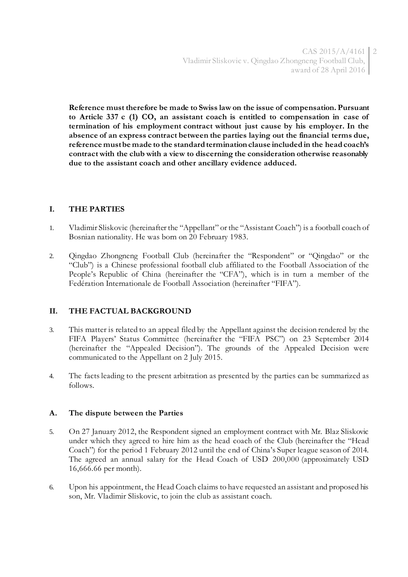**Reference must therefore be made to Swiss law on the issue of compensation. Pursuant to Article 337 c (1) CO, an assistant coach is entitled to compensation in case of termination of his employment contract without just cause by his employer. In the absence of an express contract between the parties laying out the financial terms due, reference must be made to the standard termination clause included in the head coach's contract with the club with a view to discerning the consideration otherwise reasonably due to the assistant coach and other ancillary evidence adduced.** 

# **I. THE PARTIES**

- 1. Vladimir Sliskovic (hereinafter the "Appellant" or the "Assistant Coach") is a football coach of Bosnian nationality. He was born on 20 February 1983.
- 2. Qingdao Zhongneng Football Club (hereinafter the "Respondent" or "Qingdao" or the "Club") is a Chinese professional football club affiliated to the Football Association of the People's Republic of China (hereinafter the "CFA"), which is in turn a member of the Fedération Internationale de Football Association (hereinafter "FIFA").

# **II. THE FACTUAL BACKGROUND**

- 3. This matter is related to an appeal filed by the Appellant against the decision rendered by the FIFA Players' Status Committee (hereinafter the "FIFA PSC") on 23 September 2014 (hereinafter the "Appealed Decision"). The grounds of the Appealed Decision were communicated to the Appellant on 2 July 2015.
- 4. The facts leading to the present arbitration as presented by the parties can be summarized as follows.

#### **A. The dispute between the Parties**

- 5. On 27 January 2012, the Respondent signed an employment contract with Mr. Blaz Sliskovic under which they agreed to hire him as the head coach of the Club (hereinafter the "Head Coach") for the period 1 February 2012 until the end of China's Super league season of 2014. The agreed an annual salary for the Head Coach of USD 200,000 (approximately USD 16,666.66 per month).
- 6. Upon his appointment, the Head Coach claims to have requested an assistant and proposed his son, Mr. Vladimir Sliskovic, to join the club as assistant coach.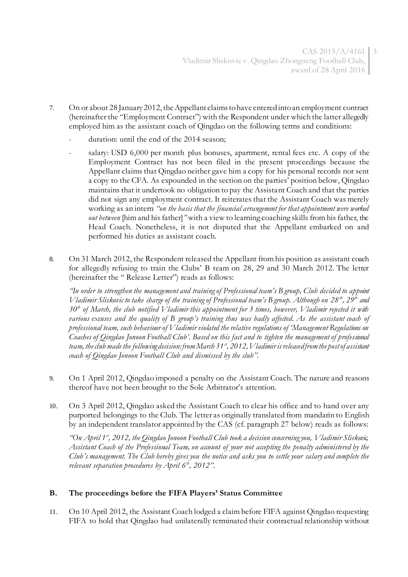- 7. On or about 28 January 2012, the Appellant claims to have entered into an employment contract (hereinafter the "Employment Contract") with the Respondent under which the latter allegedly employed him as the assistant coach of Qingdao on the following terms and conditions:
	- duration: until the end of the 2014 season;
	- salary: USD 6,000 per month plus bonuses, apartment, rental fees etc. A copy of the Employment Contract has not been filed in the present proceedings because the Appellant claims that Qingdao neither gave him a copy for his personal records nor sent a copy to the CFA. As expounded in the section on the parties' position below, Qingdao maintains that it undertook no obligation to pay the Assistant Coach and that the parties did not sign any employment contract. It reiterates that the Assistant Coach was merely working as an intern *"on the basis that the financial arrangement for that appointment were worked out between* [him and his father]*"* with a view to learning coaching skills from his father, the Head Coach. Nonetheless, it is not disputed that the Appellant embarked on and performed his duties as assistant coach.
- 8. On 31 March 2012, the Respondent released the Appellant from his position as assistant coach for allegedly refusing to train the Clubs' B team on 28, 29 and 30 March 2012. The letter (hereinafter the " Release Letter") reads as follows:

*"In order to strengthen the management and training of Professional team's B group, Club decided to appoint Vladimir Sliskovic to take charge of the training of Professional team's B group. Although on 28 th, 29th and 30th of March, the club notified Vladimir this appointment for 3 times, however, Vladimir rejected it with various excuses and the quality of B group's training thus was badly affected. As the assistant coach of professional team, such behaviour of Vladimir violated the relative regulations of 'Management Regulations on Coaches of Qingdao Jonoon Football Club'. Based on this fact and to tighten the management of professional team, the club made the following decision: from March 31st, 2012, Vladimir is released from the post of assistant coach of Qingdao Jonoon Football Club and dismissed by the club".*

- 9. On 1 April 2012, Qingdao imposed a penalty on the Assistant Coach. The nature and reasons thereof have not been brought to the Sole Arbitrator's attention.
- 10. On 3 April 2012, Qingdao asked the Assistant Coach to clear his office and to hand over any purported belongings to the Club. The letter as originally translated from mandarin to English by an independent translator appointed by the CAS (cf. paragraph 27 below) reads as follows:

*"On April 1st, 2012, the Qingdao Jonoon Football Club took a decision concerning you, Vladimir Sliskovic, Assistant Coach of the Professional Team, on account of your not accepting the penalty administered by the Club's management. The Club hereby gives you the notice and asks you to settle your salary and complete the relevant separation procedures by April 6th , 2012".*

# **B. The proceedings before the FIFA Players' Status Committee**

11. On 10 April 2012, the Assistant Coach lodged a claim before FIFA against Qingdao requesting FIFA to hold that Qingdao had unilaterally terminated their contractual relationship without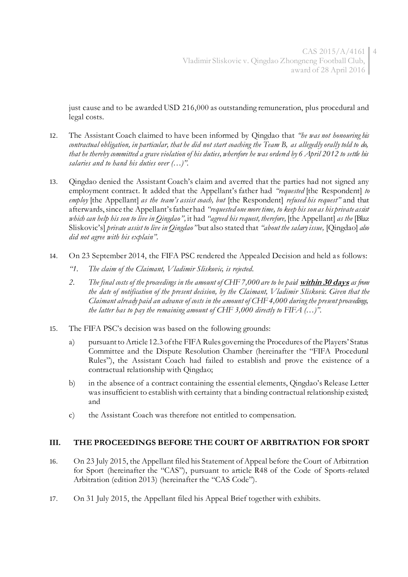just cause and to be awarded USD 216,000 as outstanding remuneration, plus procedural and legal costs.

- 12. The Assistant Coach claimed to have been informed by Qingdao that *"he was not honouring his contractual obligation, in particular, that he did not start coaching the Team B, as allegedly orally told to do, that he thereby committed a grave violation of his duties, wherefore he was ordered by 6 April 2012 to settle his salaries and to hand his duties over (…)".*
- 13. Qingdao denied the Assistant Coach's claim and averred that the parties had not signed any employment contract. It added that the Appellant's father had *"requested* [the Respondent] *to employ* [the Appellant] *as the team's assist coach, but* [the Respondent] *refused his request"* and that afterwards, since the Appellant's father had *"requested one more time, to keep his son as his private assist which can help his son to live in Qingdao",* it had *"agreed his request, therefore,* [the Appellant] *as the* [Blaz Sliskovic's] *private assist to live in Qingdao"* but also stated that *"about the salary issue,* [Qingdao] *also did not agree with his explain".*
- 14. On 23 September 2014, the FIFA PSC rendered the Appealed Decision and held as follows:
	- *"1. The claim of the Claimant, Vladimir Sliskovic, is rejected.*
	- *2. The final costs of the proceedings in the amount of CHF 7,000 are to be paid* **within 30 days** *as from the date of notification of the present decision, by the Claimant, Vladimir Sliskovic. Given that the Claimant already paid an advance of costs in the amount of CHF 4,000 during the present proceedings, the latter has to pay the remaining amount of CHF 3,000 directly to FIFA (…)".*
- 15. The FIFA PSC's decision was based on the following grounds:
	- a) pursuant to Article 12.3 of the FIFA Rules governing the Procedures of the Players' Status Committee and the Dispute Resolution Chamber (hereinafter the "FIFA Procedural Rules"), the Assistant Coach had failed to establish and prove the existence of a contractual relationship with Qingdao;
	- b) in the absence of a contract containing the essential elements, Qingdao's Release Letter was insufficient to establish with certainty that a binding contractual relationship existed; and
	- c) the Assistant Coach was therefore not entitled to compensation.

#### **III. THE PROCEEDINGS BEFORE THE COURT OF ARBITRATION FOR SPORT**

- 16. On 23 July 2015, the Appellant filed his Statement of Appeal before the Court of Arbitration for Sport (hereinafter the "CAS"), pursuant to article R48 of the Code of Sports-related Arbitration (edition 2013) (hereinafter the "CAS Code").
- 17. On 31 July 2015, the Appellant filed his Appeal Brief together with exhibits.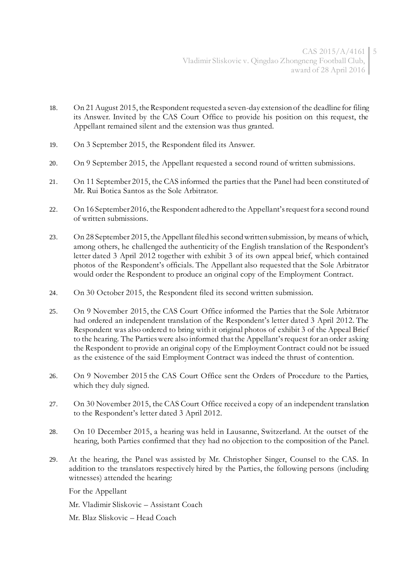- 18. On 21 August 2015, the Respondent requested a seven-day extension of the deadline for filing its Answer. Invited by the CAS Court Office to provide his position on this request, the Appellant remained silent and the extension was thus granted.
- 19. On 3 September 2015, the Respondent filed its Answer.
- 20. On 9 September 2015, the Appellant requested a second round of written submissions.
- 21. On 11 September 2015, the CAS informed the parties that the Panel had been constituted of Mr. Rui Botica Santos as the Sole Arbitrator.
- 22. On 16 September 2016, the Respondent adhered to the Appellant's request for a second round of written submissions.
- 23. On 28 September 2015, the Appellant filed his second written submission, by means of which, among others, he challenged the authenticity of the English translation of the Respondent's letter dated 3 April 2012 together with exhibit 3 of its own appeal brief, which contained photos of the Respondent's officials. The Appellant also requested that the Sole Arbitrator would order the Respondent to produce an original copy of the Employment Contract.
- 24. On 30 October 2015, the Respondent filed its second written submission.
- 25. On 9 November 2015, the CAS Court Office informed the Parties that the Sole Arbitrator had ordered an independent translation of the Respondent's letter dated 3 April 2012. The Respondent was also ordered to bring with it original photos of exhibit 3 of the Appeal Brief to the hearing. The Parties were also informed that the Appellant's request for an order asking the Respondent to provide an original copy of the Employment Contract could not be issued as the existence of the said Employment Contract was indeed the thrust of contention.
- 26. On 9 November 2015 the CAS Court Office sent the Orders of Procedure to the Parties, which they duly signed.
- 27. On 30 November 2015, the CAS Court Office received a copy of an independent translation to the Respondent's letter dated 3 April 2012.
- 28. On 10 December 2015, a hearing was held in Lausanne, Switzerland. At the outset of the hearing, both Parties confirmed that they had no objection to the composition of the Panel.
- 29. At the hearing, the Panel was assisted by Mr. Christopher Singer, Counsel to the CAS. In addition to the translators respectively hired by the Parties, the following persons (including witnesses) attended the hearing:

For the Appellant

- Mr. Vladimir Sliskovic Assistant Coach
- Mr. Blaz Sliskovic Head Coach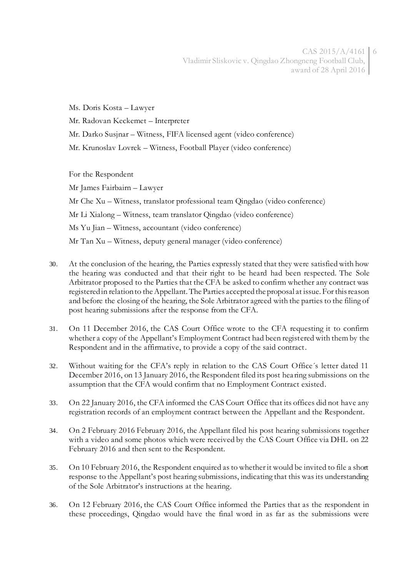$CAS 2015/A/4161$  6 Vladimir Sliskovic v. Qingdao Zhongneng Football Club, award of 28 April 2016

Ms. Doris Kosta – Lawyer Mr. Radovan Keckemet – Interpreter

Mr. Darko Susjnar – Witness, FIFA licensed agent (video conference)

Mr. Krunoslav Lovrek – Witness, Football Player (video conference)

For the Respondent

Mr James Fairbairn – Lawyer Mr Che Xu – Witness, translator professional team Qingdao (video conference) Mr Li Xialong – Witness, team translator Qingdao (video conference) Ms Yu Jian – Witness, accountant (video conference) Mr Tan Xu – Witness, deputy general manager (video conference)

- 30. At the conclusion of the hearing, the Parties expressly stated that they were satisfied with how the hearing was conducted and that their right to be heard had been respected. The Sole Arbitrator proposed to the Parties that the CFA be asked to confirm whether any contract was registered in relation to the Appellant. The Parties accepted the proposal at issue. For this reason and before the closing of the hearing, the Sole Arbitrator agreed with the parties to the filing of post hearing submissions after the response from the CFA.
- 31. On 11 December 2016, the CAS Court Office wrote to the CFA requesting it to confirm whether a copy of the Appellant's Employment Contract had been registered with them by the Respondent and in the affirmative, to provide a copy of the said contract.
- 32. Without waiting for the CFA's reply in relation to the CAS Court Office´s letter dated 11 December 2016, on 13 January 2016, the Respondent filed its post hea ring submissions on the assumption that the CFA would confirm that no Employment Contract existed.
- 33. On 22 January 2016, the CFA informed the CAS Court Office that its offices did not have any registration records of an employment contract between the Appellant and the Respondent.
- 34. On 2 February 2016 February 2016, the Appellant filed his post hearing submissions together with a video and some photos which were received by the CAS Court Office via DHL on 22 February 2016 and then sent to the Respondent.
- 35. On 10 February 2016, the Respondent enquired as to whether it would be invited to file a short response to the Appellant's post hearing submissions, indicating that this was its understanding of the Sole Arbitrator's instructions at the hearing.
- 36. On 12 February 2016, the CAS Court Office informed the Parties that as the respondent in these proceedings, Qingdao would have the final word in as far as the submissions were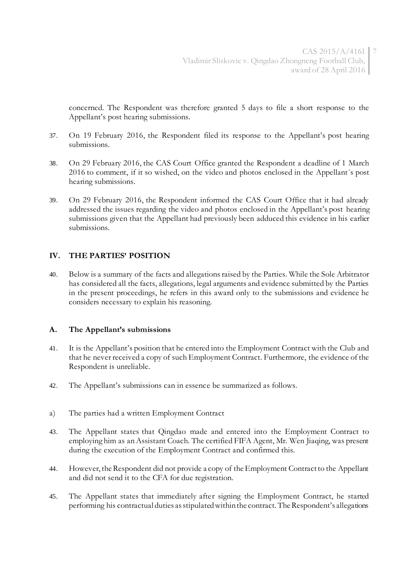concerned. The Respondent was therefore granted 5 days to file a short response to the Appellant's post hearing submissions.

- 37. On 19 February 2016, the Respondent filed its response to the Appellant's post hearing submissions.
- 38. On 29 February 2016, the CAS Court Office granted the Respondent a deadline of 1 March 2016 to comment, if it so wished, on the video and photos enclosed in the Appellant´s post hearing submissions.
- 39. On 29 February 2016, the Respondent informed the CAS Court Office that it had already addressed the issues regarding the video and photos enclosed in the Appellant's post hearing submissions given that the Appellant had previously been adduced this evidence in his earlier submissions.

#### **IV. THE PARTIES' POSITION**

40. Below is a summary of the facts and allegations raised by the Parties. While the Sole Arbitrator has considered all the facts, allegations, legal arguments and evidence submitted by the Parties in the present proceedings, he refers in this award only to the submissions and evidence he considers necessary to explain his reasoning.

#### **A. The Appellant's submissions**

- 41. It is the Appellant's position that he entered into the Employment Contract with the Club and that he never received a copy of such Employment Contract. Furthermore, the evidence of the Respondent is unreliable.
- 42. The Appellant's submissions can in essence be summarized as follows.
- a) The parties had a written Employment Contract
- 43. The Appellant states that Qingdao made and entered into the Employment Contract to employing him as an Assistant Coach. The certified FIFA Agent, Mr. Wen Jiaqing, was present during the execution of the Employment Contract and confirmed this.
- 44. However, the Respondent did not provide a copy of the Employment Contract to the Appellant and did not send it to the CFA for due registration.
- 45. The Appellant states that immediately after signing the Employment Contract, he started performing his contractual duties as stipulated within the contract. The Respondent's allegations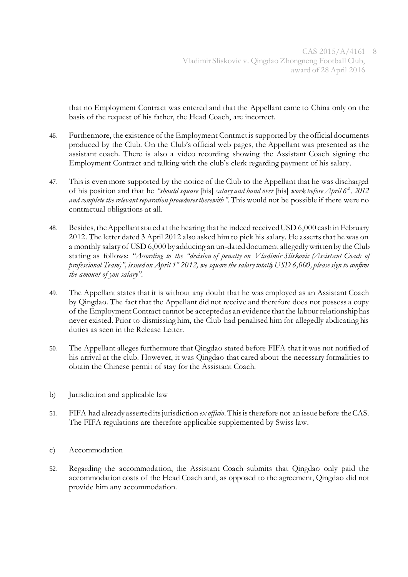that no Employment Contract was entered and that the Appellant came to China only on the basis of the request of his father, the Head Coach, are incorrect.

- 46. Furthermore, the existence of the Employment Contract is supported by the official documents produced by the Club. On the Club's official web pages, the Appellant was presented as the assistant coach. There is also a video recording showing the Assistant Coach signing the Employment Contract and talking with the club's clerk regarding payment of his salary.
- 47. This is even more supported by the notice of the Club to the Appellant that he was discharged of his position and that he *"should square* [his] *salary and hand over* [his] *work before April 6th, 2012 and complete the relevant separation procedures therewith".* This would not be possible if there were no contractual obligations at all.
- 48. Besides, the Appellant stated at the hearing that he indeed received USD 6,000 cash in February 2012. The letter dated 3 April 2012 also asked him to pick his salary. He asserts that he was on a monthly salary of USD 6,000 by adducing an un-dated document allegedly written by the Club stating as follows: *"According to the "decision of penalty on Vladimir Sliskovic (Assistant Coach of professional Team)", issued on April 1st 2012, we square the salary totally USD 6,000, please sign to confirm the amount of you salary".*
- 49. The Appellant states that it is without any doubt that he was employed as an Assistant Coach by Qingdao. The fact that the Appellant did not receive and therefore does not possess a copy of the Employment Contract cannot be accepted as an evidence that the labour relationship has never existed. Prior to dismissing him, the Club had penalised him for allegedly abdicating his duties as seen in the Release Letter.
- 50. The Appellant alleges furthermore that Qingdao stated before FIFA that it was not notified of his arrival at the club. However, it was Qingdao that cared about the necessary formalities to obtain the Chinese permit of stay for the Assistant Coach.
- b) Jurisdiction and applicable law
- 51. FIFA had already asserted its jurisdiction *ex officio*. This is therefore not an issue before the CAS. The FIFA regulations are therefore applicable supplemented by Swiss law.
- c) Accommodation
- 52. Regarding the accommodation, the Assistant Coach submits that Qingdao only paid the accommodation costs of the Head Coach and, as opposed to the agreement, Qingdao did not provide him any accommodation.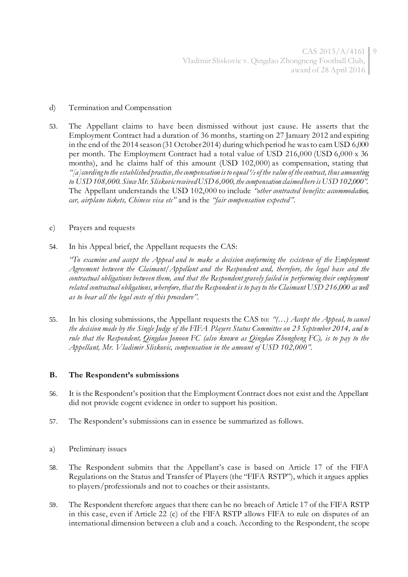#### d) Termination and Compensation

- 53. The Appellant claims to have been dismissed without just cause. He asserts that the Employment Contract had a duration of 36 months, starting on 27 January 2012 and expiring in the end of the 2014 season (31 October 2014) during which period he was to earn USD 6,000 per month. The Employment Contract had a total value of USD 216,000 (USD 6,000 x 36 months), and he claims half of this amount (USD 102,000) as compensation, stating that *"[a]ccording to the established practice, the compensation is to equal ½ of the value of the contract, thus amounting to USD 108,000. Since Mr. Sliskovic received USD 6,000, the compensation claimed here is USD 102,000".* The Appellant understands the USD 102,000 to include *"other contracted benefits: accommodation, car, airplane tickets, Chinese visa etc"* and is the *"fair compensation expected"*.
- e) Prayers and requests
- 54. In his Appeal brief, the Appellant requests the CAS:

*"To examine and accept the Appeal and to make a decision conforming the existence of the Employment Agreement between the Claimant/Appellant and the Respondent and, therefore, the legal base and the contractual obligations between them, and that the Respondent gravely failed in performing their employment related contractual obligations, wherefore, that the Respondent is to pay to the Claimant USD 216,000 as well as to bear all the legal costs of this procedure".*

55. In his closing submissions, the Appellant requests the CAS to: *"(…) Accept the Appeal, to cancel the decision made by the Single Judge of the FIFA Players Status Committee on 23 September 2014, and to rule that the Respondent, Qingdao Jonoon FC (also known as Qingdao Zhongheng FC), is to pay to the Appellant, Mr. Vladimir Sliskovic, compensation in the amount of USD 102,000".*

#### **B. The Respondent's submissions**

- 56. It is the Respondent's position that the Employment Contract does not exist and the Appellant did not provide cogent evidence in order to support his position.
- 57. The Respondent's submissions can in essence be summarized as follows.
- a) Preliminary issues
- 58. The Respondent submits that the Appellant's case is based on Article 17 of the FIFA Regulations on the Status and Transfer of Players (the "FIFA RSTP"), which it argues applies to players/professionals and not to coaches or their assistants.
- 59. The Respondent therefore argues that there can be no breach of Article 17 of the FIFA RSTP in this case, even if Article 22 (c) of the FIFA RSTP allows FIFA to rule on disputes of an international dimension between a club and a coach. According to the Respondent, the scope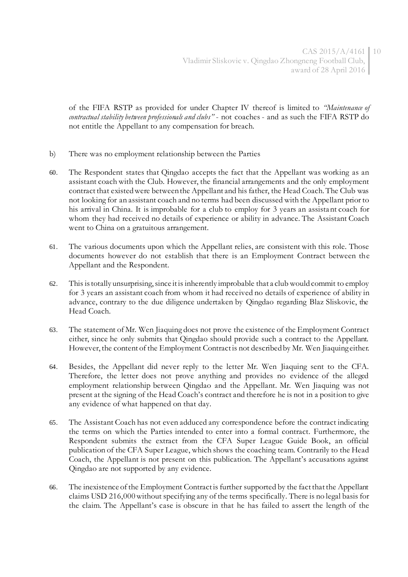of the FIFA RSTP as provided for under Chapter IV thereof is limited to *"Maintenance of contractual stability between professionals and clubs"* - not coaches - and as such the FIFA RSTP do not entitle the Appellant to any compensation for breach.

- b) There was no employment relationship between the Parties
- 60. The Respondent states that Qingdao accepts the fact that the Appellant was working as an assistant coach with the Club. However, the financial arrangements and the only employment contract that existed were between the Appellant and his father, the Head Coach. The Club was not looking for an assistant coach and no terms had been discussed with the Appellant prior to his arrival in China. It is improbable for a club to employ for 3 years an assistant coach for whom they had received no details of experience or ability in advance. The Assistant Coach went to China on a gratuitous arrangement.
- 61. The various documents upon which the Appellant relies, are consistent with this role. Those documents however do not establish that there is an Employment Contract between the Appellant and the Respondent.
- 62. This is totally unsurprising, since it is inherently improbable that a club would commit to employ for 3 years an assistant coach from whom it had received no details of experience of ability in advance, contrary to the due diligence undertaken by Qingdao regarding Blaz Sliskovic, the Head Coach.
- 63. The statement of Mr. Wen Jiaquing does not prove the existence of the Employment Contract either, since he only submits that Qingdao should provide such a contract to the Appellant. However, the content of the Employment Contract is not described by Mr. Wen Jiaquing either.
- 64. Besides, the Appellant did never reply to the letter Mr. Wen Jiaquing sent to the CFA. Therefore, the letter does not prove anything and provides no evidence of the alleged employment relationship between Qingdao and the Appellant. Mr. Wen Jiaquing was not present at the signing of the Head Coach's contract and therefore he is not in a position to give any evidence of what happened on that day.
- 65. The Assistant Coach has not even adduced any correspondence before the contract indicating the terms on which the Parties intended to enter into a formal contract. Furthermore, the Respondent submits the extract from the CFA Super League Guide Book, an official publication of the CFA Super League, which shows the coaching team. Contrarily to the Head Coach, the Appellant is not present on this publication. The Appellant's accusations against Qingdao are not supported by any evidence.
- 66. The inexistence of the Employment Contract is further supported by the fact that the Appellant claims USD 216,000 without specifying any of the terms specifically. There is no legal basis for the claim. The Appellant's case is obscure in that he has failed to assert the length of the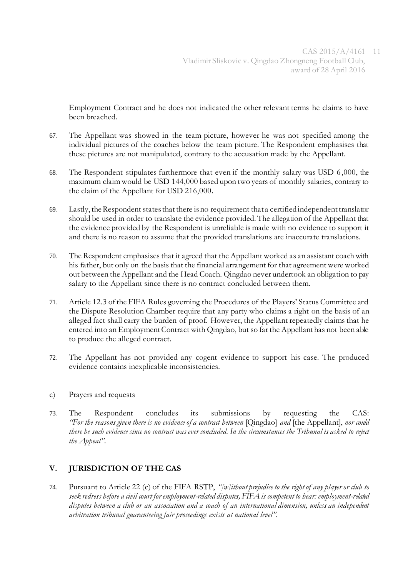Employment Contract and he does not indicated the other relevant terms he claims to have been breached.

- 67. The Appellant was showed in the team picture, however he was not specified among the individual pictures of the coaches below the team picture. The Respondent emphasises that these pictures are not manipulated, contrary to the accusation made by the Appellant.
- 68. The Respondent stipulates furthermore that even if the monthly salary was USD 6,000, the maximum claim would be USD 144,000 based upon two years of monthly salaries, contrary to the claim of the Appellant for USD 216,000.
- 69. Lastly, the Respondent states that there is no requirement that a certified independent translator should be used in order to translate the evidence provided. The allegation of the Appellant that the evidence provided by the Respondent is unreliable is made with no evidence to support it and there is no reason to assume that the provided translations are inaccurate translations.
- 70. The Respondent emphasises that it agreed that the Appellant worked as an assistant coach with his father, but only on the basis that the financial arrangement for that agreement were worked out between the Appellant and the Head Coach. Qingdao never undertook an obligation to pay salary to the Appellant since there is no contract concluded between them.
- 71. Article 12.3 of the FIFA Rules governing the Procedures of the Players' Status Committee and the Dispute Resolution Chamber require that any party who claims a right on the basis of an alleged fact shall carry the burden of proof. However, the Appellant repeatedly claims that he entered into an Employment Contract with Qingdao, but so far the Appellant has not been able to produce the alleged contract.
- 72. The Appellant has not provided any cogent evidence to support his case. The produced evidence contains inexplicable inconsistencies.
- c) Prayers and requests
- 73. The Respondent concludes its submissions by requesting the CAS: *"For the reasons given there is no evidence of a contract between* [Qingdao] *and* [the Appellant], *nor could there be such evidence since no contract was ever concluded. In the circumstances the Tribunal is asked to reject the Appeal".*

# **V. JURISDICTION OF THE CAS**

74. Pursuant to Article 22 (c) of the FIFA RSTP, *"[w]ithout prejudice to the right of any player or club to seek redress before a civil court for employment-related disputes, FIFA is competent to hear: employment-related disputes between a club or an association and a coach of an international dimension, unless an independent arbitration tribunal guaranteeing fair proceedings exists at national level".*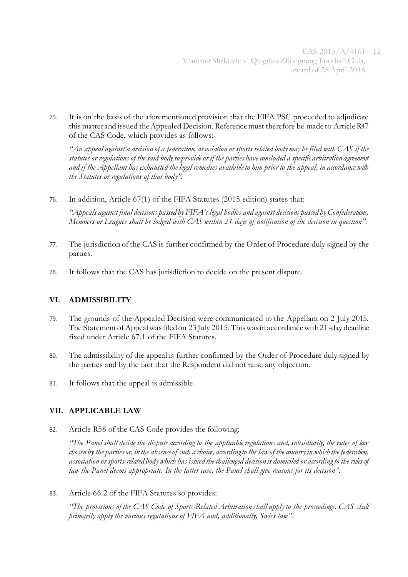75. It is on the basis of the aforementioned provision that the FIFA PSC proceeded to adjudicate this matter and issued the Appealed Decision. Reference must therefore be made to Article R47 of the CAS Code, which provides as follows:

*"An appeal against a decision of a federation, association or sports related body may be filed with CAS if the statutes or regulations of the said body so provide or if the parties have concluded a specific arbitration agreement and if the Appellant has exhausted the legal remedies available to him prior to the appeal, in accordance with the Statutes or regulations of that body".*

76. In addition, Article 67(1) of the FIFA Statutes (2015 edition) states that:

*"Appeals against final decisions passed by FIFA's legal bodies and against decisions passed by Confederations, Members or Leagues shall be lodged with CAS within 21 days of notification of the decision in question".*

- 77. The jurisdiction of the CAS is further confirmed by the Order of Procedure duly signed by the parties.
- 78. It follows that the CAS has jurisdiction to decide on the present dispute.

# **VI. ADMISSIBILITY**

- 79. The grounds of the Appealed Decision were communicated to the Appellant on 2 July 2015. The Statement of Appeal was filed on 23 July 2015. This was in accordance with 21-day deadline fixed under Article 67.1 of the FIFA Statutes.
- 80. The admissibility of the appeal is further confirmed by the Order of Procedure duly signed by the parties and by the fact that the Respondent did not raise any objection.
- 81. It follows that the appeal is admissible.

# **VII. APPLICABLE LAW**

82. Article R58 of the CAS Code provides the following:

*"The Panel shall decide the dispute according to the applicable regulations and, subsidiarily, the rules of law chosen by the parties or, in the absence of such a choice, according to the law of the country in which the federation, association or sports-related body which has issued the challenged decision is domiciled or according to the rules of law the Panel deems appropriate. In the latter case, the Panel shall give reasons for its decision".*

83. Article 66.2 of the FIFA Statutes so provides:

*"The provisions of the CAS Code of Sports-Related Arbitration shall apply to the proceedings. CAS shall primarily apply the various regulations of FIFA and, additionally, Swiss law".*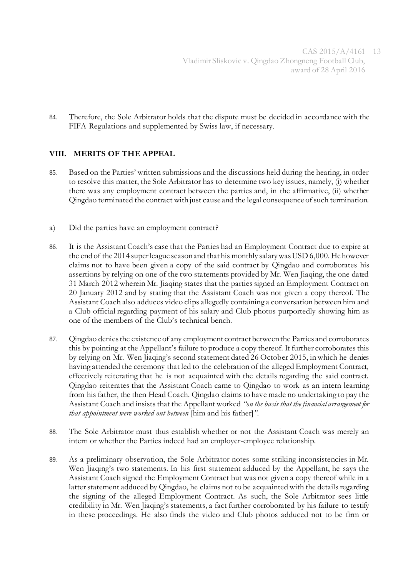84. Therefore, the Sole Arbitrator holds that the dispute must be decided in accordance with the FIFA Regulations and supplemented by Swiss law, if necessary.

#### **VIII. MERITS OF THE APPEAL**

- 85. Based on the Parties' written submissions and the discussions held during the hearing, in order to resolve this matter, the Sole Arbitrator has to determine two key issues, namely, (i) whether there was any employment contract between the parties and, in the affirmative, (ii) whether Qingdao terminated the contract with just cause and the legal consequence of such termination.
- a) Did the parties have an employment contract?
- 86. It is the Assistant Coach's case that the Parties had an Employment Contract due to expire at the end of the 2014 super league season and that his monthly salary was USD 6,000. He however claims not to have been given a copy of the said contract by Qingdao and corroborates his assertions by relying on one of the two statements provided by Mr. Wen Jiaqing, the one dated 31 March 2012 wherein Mr. Jiaqing states that the parties signed an Employment Contract on 20 January 2012 and by stating that the Assistant Coach was not given a copy thereof. The Assistant Coach also adduces video clips allegedly containing a conversation between him and a Club official regarding payment of his salary and Club photos purportedly showing him as one of the members of the Club's technical bench.
- 87. Qingdao denies the existence of any employment contract between the Parties and corroborates this by pointing at the Appellant's failure to produce a copy thereof. It further corroborates this by relying on Mr. Wen Jiaqing's second statement dated 26 October 2015, in which he denies having attended the ceremony that led to the celebration of the alleged Employment Contract, effectively reiterating that he is not acquainted with the details regarding the said contract. Qingdao reiterates that the Assistant Coach came to Qingdao to work as an intern learning from his father, the then Head Coach. Qingdao claims to have made no undertaking to pay the Assistant Coach and insists that the Appellant worked *"on the basis that the financial arrangement for that appointment were worked out between* [him and his father]*"*.
- 88. The Sole Arbitrator must thus establish whether or not the Assistant Coach was merely an intern or whether the Parties indeed had an employer-employee relationship.
- 89. As a preliminary observation, the Sole Arbitrator notes some striking inconsistencies in Mr. Wen Jiaqing's two statements. In his first statement adduced by the Appellant, he says the Assistant Coach signed the Employment Contract but was not given a copy thereof while in a latter statement adduced by Qingdao, he claims not to be acquainted with the details regarding the signing of the alleged Employment Contract. As such, the Sole Arbitrator sees little credibility in Mr. Wen Jiaqing's statements, a fact further corroborated by his failure to testify in these proceedings. He also finds the video and Club photos adduced not to be firm or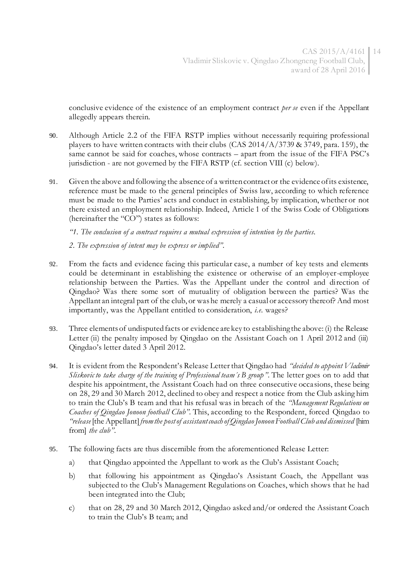conclusive evidence of the existence of an employment contract *per se* even if the Appellant allegedly appears therein.

- 90. Although Article 2.2 of the FIFA RSTP implies without necessarily requiring professional players to have written contracts with their clubs (CAS  $2014/A/3739$  & 3749, para. 159), the same cannot be said for coaches, whose contracts – apart from the issue of the FIFA PSC's jurisdiction - are not governed by the FIFA RSTP (cf. section VIII (c) below).
- 91. Given the above and following the absence of a written contract or the evidence of its existence, reference must be made to the general principles of Swiss law, according to which reference must be made to the Parties' acts and conduct in establishing, by implication, whether or not there existed an employment relationship. Indeed, Article 1 of the Swiss Code of Obligations (hereinafter the "CO") states as follows:

*"1. The conclusion of a contract requires a mutual expression of intention by the parties.*

*2. The expression of intent may be express or implied".*

- 92. From the facts and evidence facing this particular case, a number of key tests and elements could be determinant in establishing the existence or otherwise of an employer-employee relationship between the Parties. Was the Appellant under the control and direction of Qingdao? Was there some sort of mutuality of obligation between the parties? Was the Appellant an integral part of the club, or was he merely a casual or accessory thereof? And most importantly, was the Appellant entitled to consideration, *i.e.* wages?
- 93. Three elements of undisputed facts or evidence are key to establishing the above: (i) the Release Letter (ii) the penalty imposed by Qingdao on the Assistant Coach on 1 April 2012 and (iii) Qingdao's letter dated 3 April 2012.
- 94. It is evident from the Respondent's Release Letter that Qingdao had *"decided to appoint Vladimir Sliskovic to take charge of the training of Professional team´s B group".* The letter goes on to add that despite his appointment, the Assistant Coach had on three consecutive occa sions, these being on 28, 29 and 30 March 2012, declined to obey and respect a notice from the Club asking him to train the Club's B team and that his refusal was in breach of the *"Management Regulations on Coaches of Qingdao Jonoon football Club".* This, according to the Respondent, forced Qingdao to *"release* [the Appellant]*from the post of assistant coach of Qingdao Jonoon Football Club and dismissed* [him from] *the club"*.
- 95. The following facts are thus discernible from the aforementioned Release Letter:
	- a) that Qingdao appointed the Appellant to work as the Club's Assistant Coach;
	- b) that following his appointment as Qingdao's Assistant Coach, the Appellant was subjected to the Club's Management Regulations on Coaches, which shows that he had been integrated into the Club;
	- c) that on 28, 29 and 30 March 2012, Qingdao asked and/or ordered the Assistant Coach to train the Club's B team; and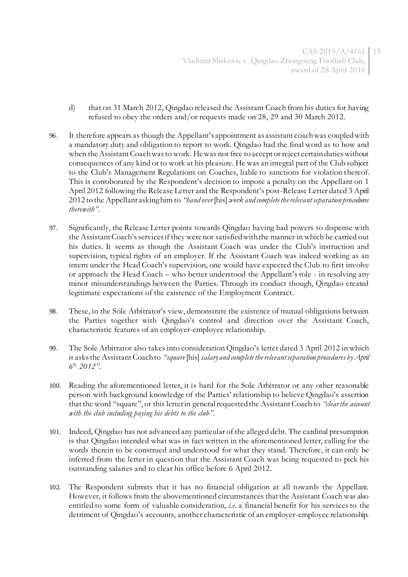- d) that on 31 March 2012, Qingdao released the Assistant Coach from his duties for having refused to obey the orders and/or requests made on 28, 29 and 30 March 2012.
- 96. It therefore appears as though the Appellant's appointment as assistant coach was coupled with a mandatory duty and obligation to report to work. Qingdao had the final word as to how and when the Assistant Coach was to work. He was not free to accept or reject certain duties without consequences of any kind or to work at his pleasure. He was an integral part of the Club subject to the Club's Management Regulations on Coaches, liable to sanctions for violation thereof. This is corroborated by the Respondent's decision to impose a penalty on the Appellant on 1 April 2012 following the Release Letter and the Respondent's post-Release Letter dated 3 April 2012 to the Appellant asking him to *"hand over* [his] *work and complete the relevant separation procedures therewith".*
- 97. Significantly, the Release Letter points towards Qingdao having had powers to dispense with the Assistant Coach's services if they were not satisfied with the manner in which he carried out his duties. It seems as though the Assistant Coach was under the Club's instruction and supervision, typical rights of an employer. If the Assistant Coach was indeed working as an intern under the Head Coach's supervision, one would have expected the Club to first involve or approach the Head Coach – who better understood the Appellant's role - in resolving any minor misunderstandings between the Parties. Through its conduct though, Qingdao created legitimate expectations of the existence of the Employment Contract.
- 98. These, in the Sole Arbitrator's view, demonstrate the existence of mutual obligations between the Parties together with Qingdao's control and direction over the Assistant Coach, characteristic features of an employer-employee relationship.
- 99. The Sole Arbitrator also takes into consideration Qingdao's letter dated 3 April 2012 in which it asks the Assistant Coach to *"square* [his] *salary and complete the relevant separation procedures by April 6 th, 2012".*
- 100. Reading the aforementioned letter, it is hard for the Sole Arbitrator or any other reasonable person with background knowledge of the Parties' relationship to believe Qingdao's assertion that the word "square", or this letter in general requested the Assistant Coach to *"clear the account with the club including paying his debts to the club".*
- 101. Indeed, Qingdao has not advanced any particular of the alleged debt. The cardinal presumption is that Qingdao intended what was in fact written in the aforementioned letter, calling for the words therein to be construed and understood for what they stand. Therefore, it can only be inferred from the letter in question that the Assistant Coach was being requested to pick his outstanding salaries and to clear his office before 6 April 2012.
- 102. The Respondent submits that it has no financial obligation at all towards the Appellant. However, it follows from the abovementioned circumstances that the Assistant Coach was also entitled to some form of valuable consideration, *i.e*. a financial benefit for his services to the detriment of Qingdao's accounts, another characteristic of an employer-employee relationship.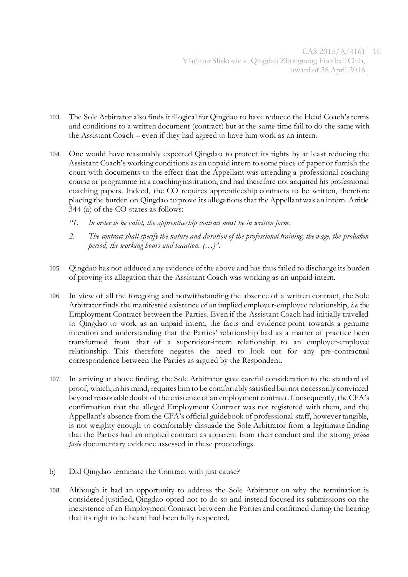- 103. The Sole Arbitrator also finds it illogical for Qingdao to have reduced the Head Coach's terms and conditions to a written document (contract) but at the same time fail to do the same with the Assistant Coach – even if they had agreed to have him work as an intern.
- 104. One would have reasonably expected Qingdao to protect its rights by at least reducing the Assistant Coach's working conditions as an unpaid intern to some piece of paper or furnish the court with documents to the effect that the Appellant was attending a professional coaching course or programme in a coaching institution, and had therefore not acquired his professional coaching papers. Indeed, the CO requires apprenticeship contracts to be written, therefore placing the burden on Qingdao to prove its allegations that the Appellant was an intern. Article 344 (a) of the CO states as follows:
	- *"1. In order to be valid, the apprenticeship contract must be in written form.*
	- *2. The contract shall specify the nature and duration of the professional training, the wage, the probation period, the working hours and vacation. (…)".*
- 105. Qingdao has not adduced any evidence of the above and has thus failed to discharge its burden of proving its allegation that the Assistant Coach was working as an unpaid intern.
- 106. In view of all the foregoing and notwithstanding the absence of a written contract, the Sole Arbitrator finds the manifested existence of an implied employer-employee relationship, *i.e.* the Employment Contract between the Parties. Even if the Assistant Coach had initially travelled to Qingdao to work as an unpaid intern, the facts and evidence point towards a genuine intention and understanding that the Parties' relationship had as a matter of practice been transformed from that of a supervisor-intern relationship to an employer-employee relationship. This therefore negates the need to look out for any pre-contractual correspondence between the Parties as argued by the Respondent.
- 107. In arriving at above finding, the Sole Arbitrator gave careful consideration to the standard of proof, which, in his mind, requires him to be comfortably satisfied but not necessarily convinced beyond reasonable doubt of the existence of an employment contract. Consequently, the CFA's confirmation that the alleged Employment Contract was not registered with them, and the Appellant's absence from the CFA's official guidebook of professional staff, however tangible, is not weighty enough to comfortably dissuade the Sole Arbitrator from a legitimate finding that the Parties had an implied contract as apparent from their conduct and the strong *prima facie* documentary evidence assessed in these proceedings.
- b) Did Qingdao terminate the Contract with just cause?
- 108. Although it had an opportunity to address the Sole Arbitrator on why the termination is considered justified, Qingdao opted not to do so and instead focused its submissions on the inexistence of an Employment Contract between the Parties and confirmed during the hearing that its right to be heard had been fully respected.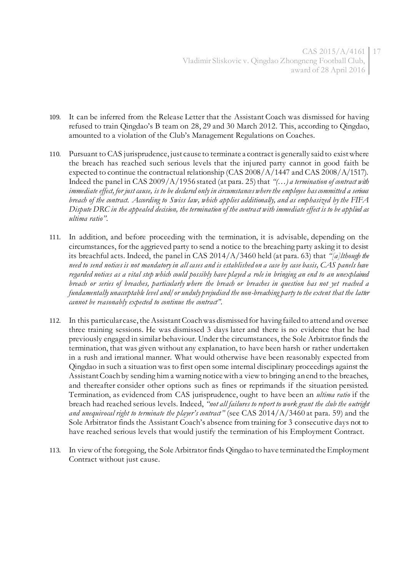- 109. It can be inferred from the Release Letter that the Assistant Coach was dismissed for having refused to train Qingdao's B team on 28, 29 and 30 March 2012. This, according to Qingdao, amounted to a violation of the Club's Management Regulations on Coaches.
- 110. Pursuant to CAS jurisprudence, just cause to terminate a contract is generally said to exist where the breach has reached such serious levels that the injured party cannot in good faith be expected to continue the contractual relationship (CAS 2008/A/1447 and CAS 2008/A/1517). Indeed the panel in CAS 2009/A/1956 stated (at para. 25) that *"(…) a termination of contract with immediate effect, for just cause, is to be declared only in circumstances where the employee has committed a serious breach of the contract. According to Swiss law, which applies additionally, and as emphasized by the FIFA Dispute DRC in the appealed decision, the termination of the contract with immediate effect is to be applied as ultima ratio".*
- 111. In addition, and before proceeding with the termination, it is advisable, depending on the circumstances, for the aggrieved party to send a notice to the breaching party asking it to desist its breachful acts. Indeed, the panel in CAS 2014/A/3460 held (at para. 63) that *"[a]lthough the need to send notices is not mandatory in all cases and is established on a case by case basis, CAS panels have regarded notices as a vital step which could possibly have played a role in bringing an end to an unexplained breach or series of breaches, particularly where the breach or breaches in question has not yet reached a fundamentally unacceptable level and/or unduly prejudiced the non-breaching party to the extent that the latter cannot be reasonably expected to continue the contract".*
- 112. In this particular case, the Assistant Coach was dismissed for having failed to attend and oversee three training sessions. He was dismissed 3 days later and there is no evidence that he had previously engaged in similar behaviour. Under the circumstances, the Sole Arbitrator finds the termination, that was given without any explanation, to have been harsh or rather undertaken in a rush and irrational manner. What would otherwise have been reasonably expected from Qingdao in such a situation was to first open some internal disciplinary proceedings against the Assistant Coach by sending him a warning notice with a view to bringing an end to the breaches, and thereafter consider other options such as fines or reprimands if the situation persisted. Termination, as evidenced from CAS jurisprudence, ought to have been an *ultima ratio* if the breach had reached serious levels. Indeed, *"not all failures to report to work grant the club the outright and unequivocal right to terminate the player's contract"* (see CAS 2014/A/3460 at para. 59) and the Sole Arbitrator finds the Assistant Coach's absence from training for 3 consecutive days not to have reached serious levels that would justify the termination of his Employment Contract.
- 113. In view of the foregoing, the Sole Arbitrator finds Qingdao to have terminated the Employment Contract without just cause.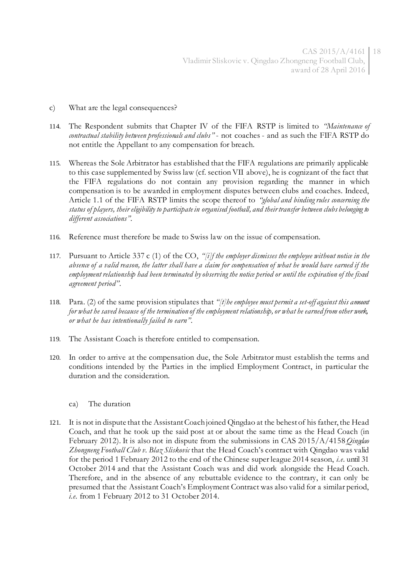- c) What are the legal consequences?
- 114. The Respondent submits that Chapter IV of the FIFA RSTP is limited to *"Maintenance of contractual stability between professionals and clubs"* - not coaches - and as such the FIFA RSTP do not entitle the Appellant to any compensation for breach.
- 115. Whereas the Sole Arbitrator has established that the FIFA regulations are primarily applicable to this case supplemented by Swiss law (cf. section VII above), he is cognizant of the fact that the FIFA regulations do not contain any provision regarding the manner in which compensation is to be awarded in employment disputes between clubs and coaches. Indeed, Article 1.1 of the FIFA RSTP limits the scope thereof to *"global and binding rules concerning the status of players, their eligibility to participate in organised football, and their transfer between clubs belonging to different associations".*
- 116. Reference must therefore be made to Swiss law on the issue of compensation.
- 117. Pursuant to Article 337 c (1) of the CO, *"[i]f the employer dismisses the employee without notice in the absence of a valid reason, the latter shall have a claim for compensation of what he would have earned if the employment relationship had been terminated by observing the notice period or until the expiration of the fixed agreement period"*.
- 118. Para. (2) of the same provision stipulates that *"[t]he employee must permit a set-off against this amount for what he saved because of the termination of the employment relationship, or what he earned from other work, or what he has intentionally failed to earn"*.
- 119. The Assistant Coach is therefore entitled to compensation.
- 120. In order to arrive at the compensation due, the Sole Arbitrator must establish the terms and conditions intended by the Parties in the implied Employment Contract, in particular the duration and the consideration.
	- ca) The duration
- 121. It is not in dispute that the Assistant Coach joined Qingdao at the behest of his father, the Head Coach, and that he took up the said post at or about the same time as the Head Coach (in February 2012). It is also not in dispute from the submissions in CAS 2015/A/4158 *Qingdao Zhongneng Football Club v. Blaz Sliskovic* that the Head Coach's contract with Qingdao was valid for the period 1 February 2012 to the end of the Chinese super league 2014 season, *i.e*. until 31 October 2014 and that the Assistant Coach was and did work alongside the Head Coach. Therefore, and in the absence of any rebuttable evidence to the contrary, it can only be presumed that the Assistant Coach's Employment Contract was also valid for a similar period, *i.e.* from 1 February 2012 to 31 October 2014.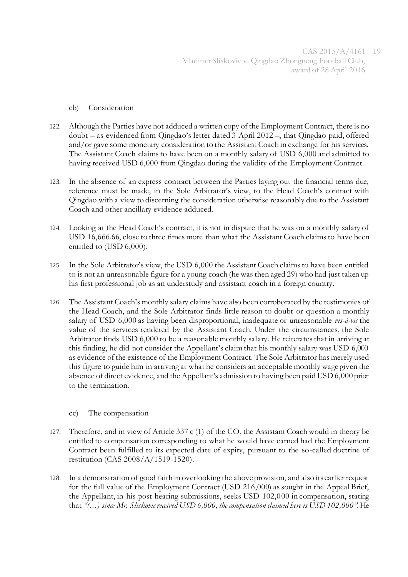- cb) Consideration
- 122. Although the Parties have not adduced a written copy of the Employment Contract, there is no doubt – as evidenced from Qingdao's letter dated 3 April 2012 –, that Qingdao paid, offered and/or gave some monetary consideration to the Assistant Coach in exchange for his services. The Assistant Coach claims to have been on a monthly salary of USD 6,000 and admitted to having received USD 6,000 from Qingdao during the validity of the Employment Contract.
- 123. In the absence of an express contract between the Parties laying out the financial terms due, reference must be made, in the Sole Arbitrator's view, to the Head Coach's contract with Qingdao with a view to discerning the consideration otherwise reasonably due to the Assistant Coach and other ancillary evidence adduced.
- 124. Looking at the Head Coach's contract, it is not in dispute that he was on a monthly salary of USD 16,666.66, close to three times more than what the Assistant Coach claims to have been entitled to (USD 6,000).
- 125. In the Sole Arbitrator's view, the USD 6,000 the Assistant Coach claims to have been entitled to is not an unreasonable figure for a young coach (he was then aged 29) who had just taken up his first professional job as an understudy and assistant coach in a foreign country.
- 126. The Assistant Coach's monthly salary claims have also been corroborated by the testimonies of the Head Coach, and the Sole Arbitrator finds little reason to doubt or question a monthly salary of USD 6,000 as having been disproportional, inadequate or unreasonable *vis-à-vis* the value of the services rendered by the Assistant Coach. Under the circumstances, the Sole Arbitrator finds USD 6,000 to be a reasonable monthly salary. He reiterates that in arriving at this finding, he did not consider the Appellant's claim that his monthly salary was USD 6,000 as evidence of the existence of the Employment Contract. The Sole Arbitrator has merely used this figure to guide him in arriving at what he considers an acceptable monthly wage given the absence of direct evidence, and the Appellant's admission to having been paid USD 6,000 prior to the termination.
	- cc) The compensation
- 127. Therefore, and in view of Article 337 c (1) of the CO, the Assistant Coach would in theory be entitled to compensation corresponding to what he would have earned had the Employment Contract been fulfilled to its expected date of expiry, pursuant to the so-called doctrine of restitution (CAS 2008/A/1519-1520).
- 128. In a demonstration of good faith in overlooking the above provision, and also its earlier request for the full value of the Employment Contract (USD 216,000) as sought in the Appeal Brief, the Appellant, in his post hearing submissions, seeks USD 102,000 in compensation, stating that *"(…) since Mr. Sliskovic received USD 6,000, the compensation claimed here is USD 102,000"*. He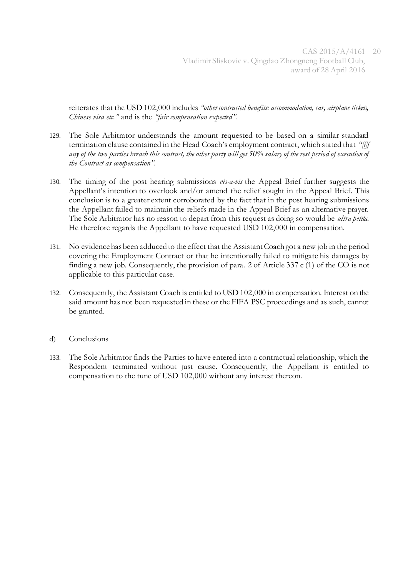reiterates that the USD 102,000 includes *"other contracted benefits: accommodation, car, airplane tickets, Chinese visa etc."* and is the *"fair compensation expected"*.

- 129. The Sole Arbitrator understands the amount requested to be based on a similar standard termination clause contained in the Head Coach's employment contract, which stated that *"[i]f any of the two parties breach this contract, the other party will get 50% salary of the rest period of execution of the Contract as compensation".*
- 130. The timing of the post hearing submissions *vis-a-vis* the Appeal Brief further suggests the Appellant's intention to overlook and/or amend the relief sought in the Appeal Brief. This conclusion is to a greater extent corroborated by the fact that in the post hearing submissions the Appellant failed to maintain the reliefs made in the Appeal Brief as an alternative prayer. The Sole Arbitrator has no reason to depart from this request as doing so would be *ultra petita*. He therefore regards the Appellant to have requested USD 102,000 in compensation.
- 131. No evidence has been adduced to the effect that the Assistant Coach got a new job in the period covering the Employment Contract or that he intentionally failed to mitigate his damages by finding a new job. Consequently, the provision of para. 2 of Article 337 c (1) of the CO is not applicable to this particular case.
- 132. Consequently, the Assistant Coach is entitled to USD 102,000 in compensation. Interest on the said amount has not been requested in these or the FIFA PSC proceedings and as such, cannot be granted.
- d) Conclusions
- 133. The Sole Arbitrator finds the Parties to have entered into a contractual relationship, which the Respondent terminated without just cause. Consequently, the Appellant is entitled to compensation to the tune of USD 102,000 without any interest thereon.